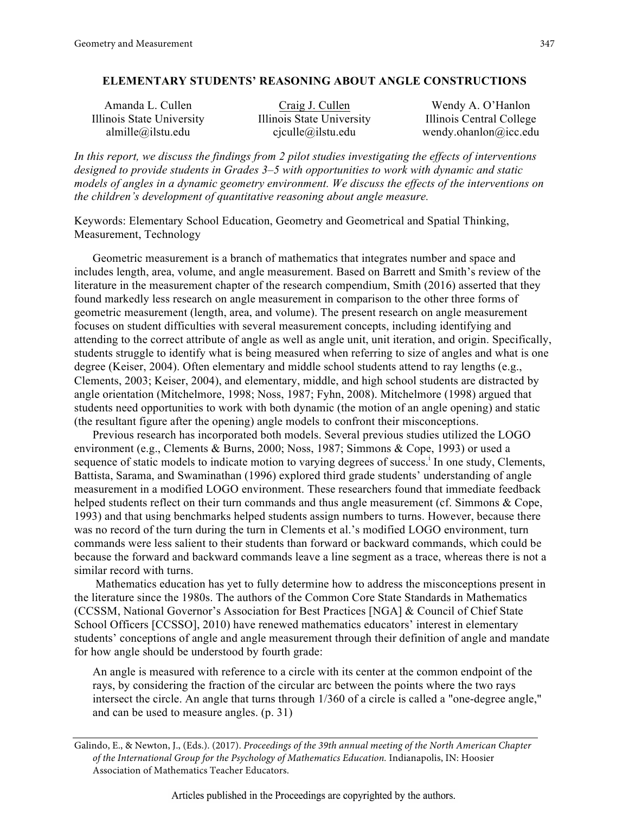# **ELEMENTARY STUDENTS' REASONING ABOUT ANGLE CONSTRUCTIONS**

Amanda L. Cullen Craig J. Cullen Wendy A. O'Hanlon Illinois State University Illinois State University Illinois Central College almille@ilstu.edu cjculle@ilstu.edu wendy.ohanlon@icc.edu

*In this report, we discuss the findings from 2 pilot studies investigating the effects of interventions designed to provide students in Grades 3–5 with opportunities to work with dynamic and static models of angles in a dynamic geometry environment. We discuss the effects of the interventions on the children's development of quantitative reasoning about angle measure.*

Keywords: Elementary School Education, Geometry and Geometrical and Spatial Thinking, Measurement, Technology

Geometric measurement is a branch of mathematics that integrates number and space and includes length, area, volume, and angle measurement. Based on Barrett and Smith's review of the literature in the measurement chapter of the research compendium, Smith (2016) asserted that they found markedly less research on angle measurement in comparison to the other three forms of geometric measurement (length, area, and volume). The present research on angle measurement focuses on student difficulties with several measurement concepts, including identifying and attending to the correct attribute of angle as well as angle unit, unit iteration, and origin. Specifically, students struggle to identify what is being measured when referring to size of angles and what is one degree (Keiser, 2004). Often elementary and middle school students attend to ray lengths (e.g., Clements, 2003; Keiser, 2004), and elementary, middle, and high school students are distracted by angle orientation (Mitchelmore, 1998; Noss, 1987; Fyhn, 2008). Mitchelmore (1998) argued that students need opportunities to work with both dynamic (the motion of an angle opening) and static (the resultant figure after the opening) angle models to confront their misconceptions.

Previous research has incorporated both models. Several previous studies utilized the LOGO environment (e.g., Clements & Burns, 2000; Noss, 1987; Simmons & Cope, 1993) or used a sequence of static models to indicate motion to varying degrees of success.<sup>i</sup> In one study, Clements, Battista, Sarama, and Swaminathan (1996) explored third grade students' understanding of angle measurement in a modified LOGO environment. These researchers found that immediate feedback helped students reflect on their turn commands and thus angle measurement (cf. Simmons & Cope, 1993) and that using benchmarks helped students assign numbers to turns. However, because there was no record of the turn during the turn in Clements et al.'s modified LOGO environment, turn commands were less salient to their students than forward or backward commands, which could be because the forward and backward commands leave a line segment as a trace, whereas there is not a similar record with turns.

Mathematics education has yet to fully determine how to address the misconceptions present in the literature since the 1980s. The authors of the Common Core State Standards in Mathematics (CCSSM, National Governor's Association for Best Practices [NGA] & Council of Chief State School Officers [CCSSO], 2010) have renewed mathematics educators' interest in elementary students' conceptions of angle and angle measurement through their definition of angle and mandate for how angle should be understood by fourth grade:

An angle is measured with reference to a circle with its center at the common endpoint of the rays, by considering the fraction of the circular arc between the points where the two rays intersect the circle. An angle that turns through 1/360 of a circle is called a "one-degree angle," and can be used to measure angles. (p. 31)

Galindo, E., & Newton, J., (Eds.). (2017). *Proceedings of the 39th annual meeting of the North American Chapter of the International Group for the Psychology of Mathematics Education.* Indianapolis, IN: Hoosier Association of Mathematics Teacher Educators.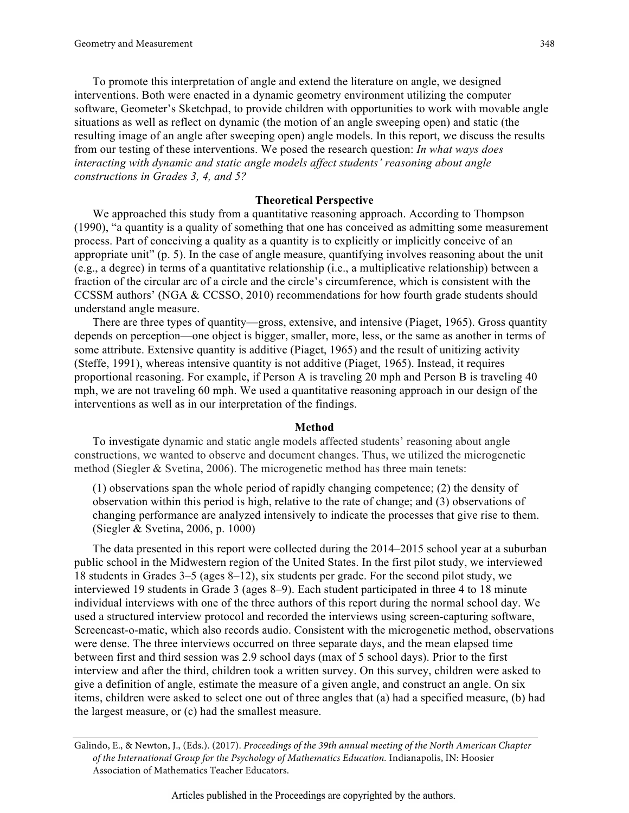To promote this interpretation of angle and extend the literature on angle, we designed interventions. Both were enacted in a dynamic geometry environment utilizing the computer software, Geometer's Sketchpad, to provide children with opportunities to work with movable angle situations as well as reflect on dynamic (the motion of an angle sweeping open) and static (the resulting image of an angle after sweeping open) angle models. In this report, we discuss the results from our testing of these interventions. We posed the research question: *In what ways does interacting with dynamic and static angle models affect students' reasoning about angle constructions in Grades 3, 4, and 5?*

# **Theoretical Perspective**

We approached this study from a quantitative reasoning approach. According to Thompson (1990), "a quantity is a quality of something that one has conceived as admitting some measurement process. Part of conceiving a quality as a quantity is to explicitly or implicitly conceive of an appropriate unit" (p. 5). In the case of angle measure, quantifying involves reasoning about the unit (e.g., a degree) in terms of a quantitative relationship (i.e., a multiplicative relationship) between a fraction of the circular arc of a circle and the circle's circumference, which is consistent with the CCSSM authors' (NGA & CCSSO, 2010) recommendations for how fourth grade students should understand angle measure.

There are three types of quantity—gross, extensive, and intensive (Piaget, 1965). Gross quantity depends on perception—one object is bigger, smaller, more, less, or the same as another in terms of some attribute. Extensive quantity is additive (Piaget, 1965) and the result of unitizing activity (Steffe, 1991), whereas intensive quantity is not additive (Piaget, 1965). Instead, it requires proportional reasoning. For example, if Person A is traveling 20 mph and Person B is traveling 40 mph, we are not traveling 60 mph. We used a quantitative reasoning approach in our design of the interventions as well as in our interpretation of the findings.

#### **Method**

To investigate dynamic and static angle models affected students' reasoning about angle constructions, we wanted to observe and document changes. Thus, we utilized the microgenetic method (Siegler & Svetina, 2006). The microgenetic method has three main tenets:

(1) observations span the whole period of rapidly changing competence; (2) the density of observation within this period is high, relative to the rate of change; and (3) observations of changing performance are analyzed intensively to indicate the processes that give rise to them. (Siegler & Svetina, 2006, p. 1000)

The data presented in this report were collected during the 2014–2015 school year at a suburban public school in the Midwestern region of the United States. In the first pilot study, we interviewed 18 students in Grades 3–5 (ages 8–12), six students per grade. For the second pilot study, we interviewed 19 students in Grade 3 (ages 8–9). Each student participated in three 4 to 18 minute individual interviews with one of the three authors of this report during the normal school day. We used a structured interview protocol and recorded the interviews using screen-capturing software, Screencast-o-matic, which also records audio. Consistent with the microgenetic method, observations were dense. The three interviews occurred on three separate days, and the mean elapsed time between first and third session was 2.9 school days (max of 5 school days). Prior to the first interview and after the third, children took a written survey. On this survey, children were asked to give a definition of angle, estimate the measure of a given angle, and construct an angle. On six items, children were asked to select one out of three angles that (a) had a specified measure, (b) had the largest measure, or (c) had the smallest measure.

Galindo, E., & Newton, J., (Eds.). (2017). *Proceedings of the 39th annual meeting of the North American Chapter of the International Group for the Psychology of Mathematics Education.* Indianapolis, IN: Hoosier Association of Mathematics Teacher Educators.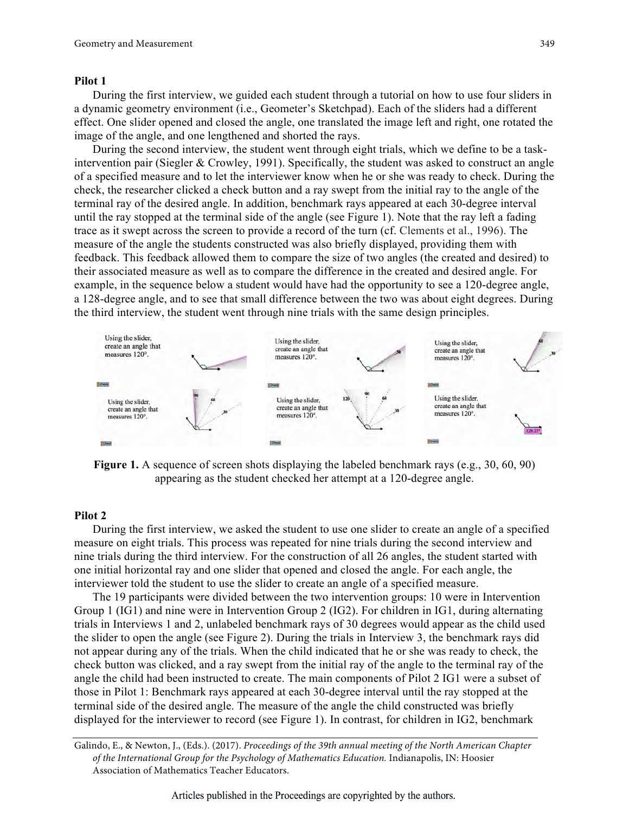#### **Pilot 1**

During the first interview, we guided each student through a tutorial on how to use four sliders in a dynamic geometry environment (i.e., Geometer's Sketchpad). Each of the sliders had a different effect. One slider opened and closed the angle, one translated the image left and right, one rotated the image of the angle, and one lengthened and shorted the rays.

During the second interview, the student went through eight trials, which we define to be a taskintervention pair (Siegler & Crowley, 1991). Specifically, the student was asked to construct an angle of a specified measure and to let the interviewer know when he or she was ready to check. During the check, the researcher clicked a check button and a ray swept from the initial ray to the angle of the terminal ray of the desired angle. In addition, benchmark rays appeared at each 30-degree interval until the ray stopped at the terminal side of the angle (see Figure 1). Note that the ray left a fading trace as it swept across the screen to provide a record of the turn (cf. Clements et al., 1996). The measure of the angle the students constructed was also briefly displayed, providing them with feedback. This feedback allowed them to compare the size of two angles (the created and desired) to their associated measure as well as to compare the difference in the created and desired angle. For example, in the sequence below a student would have had the opportunity to see a 120-degree angle, a 128-degree angle, and to see that small difference between the two was about eight degrees. During the third interview, the student went through nine trials with the same design principles.



**Figure 1.** A sequence of screen shots displaying the labeled benchmark rays (e.g., 30, 60, 90) appearing as the student checked her attempt at a 120-degree angle.

#### **Pilot 2**

During the first interview, we asked the student to use one slider to create an angle of a specified measure on eight trials. This process was repeated for nine trials during the second interview and nine trials during the third interview. For the construction of all 26 angles, the student started with one initial horizontal ray and one slider that opened and closed the angle. For each angle, the interviewer told the student to use the slider to create an angle of a specified measure.

The 19 participants were divided between the two intervention groups: 10 were in Intervention Group 1 (IG1) and nine were in Intervention Group 2 (IG2). For children in IG1, during alternating trials in Interviews 1 and 2, unlabeled benchmark rays of 30 degrees would appear as the child used the slider to open the angle (see Figure 2). During the trials in Interview 3, the benchmark rays did not appear during any of the trials. When the child indicated that he or she was ready to check, the check button was clicked, and a ray swept from the initial ray of the angle to the terminal ray of the angle the child had been instructed to create. The main components of Pilot 2 IG1 were a subset of those in Pilot 1: Benchmark rays appeared at each 30-degree interval until the ray stopped at the terminal side of the desired angle. The measure of the angle the child constructed was briefly displayed for the interviewer to record (see Figure 1). In contrast, for children in IG2, benchmark

Galindo, E., & Newton, J., (Eds.). (2017). *Proceedings of the 39th annual meeting of the North American Chapter of the International Group for the Psychology of Mathematics Education.* Indianapolis, IN: Hoosier Association of Mathematics Teacher Educators.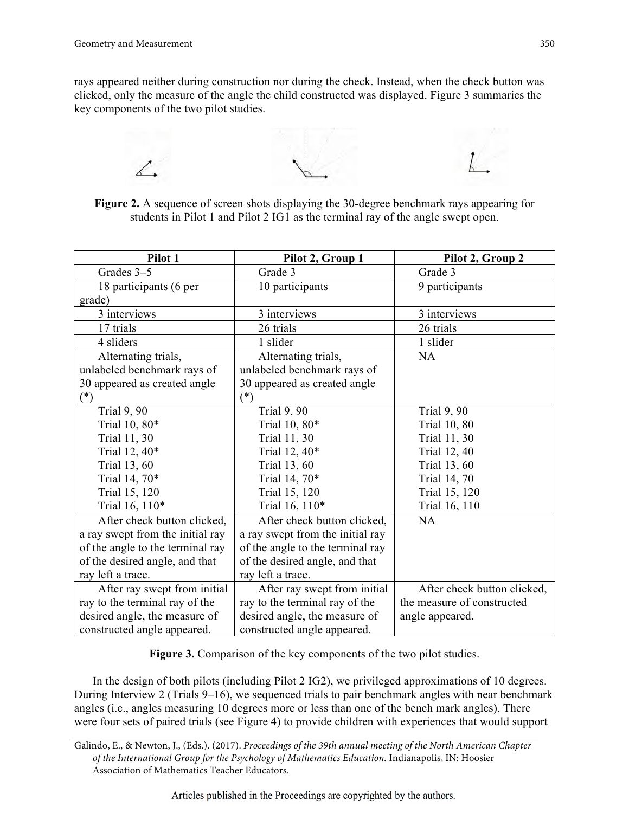rays appeared neither during construction nor during the check. Instead, when the check button was clicked, only the measure of the angle the child constructed was displayed. Figure 3 summaries the key components of the two pilot studies.



**Figure 2.** A sequence of screen shots displaying the 30-degree benchmark rays appearing for students in Pilot 1 and Pilot 2 IG1 as the terminal ray of the angle swept open.

| Pilot 1                          | Pilot 2, Group 1                 | Pilot 2, Group 2            |  |
|----------------------------------|----------------------------------|-----------------------------|--|
| Grades 3-5                       | Grade 3                          | Grade 3                     |  |
| 18 participants (6 per           | 10 participants                  | 9 participants              |  |
| grade)                           |                                  |                             |  |
| 3 interviews                     | 3 interviews                     | 3 interviews                |  |
| 17 trials                        | 26 trials                        | 26 trials                   |  |
| 4 sliders                        | 1 slider                         | 1 slider                    |  |
| Alternating trials,              | Alternating trials,              | <b>NA</b>                   |  |
| unlabeled benchmark rays of      | unlabeled benchmark rays of      |                             |  |
| 30 appeared as created angle     | 30 appeared as created angle     |                             |  |
| $(*)$                            | $(*)$                            |                             |  |
| <b>Trial 9, 90</b>               | <b>Trial 9, 90</b>               | <b>Trial 9, 90</b>          |  |
| Trial 10, 80*                    | Trial 10, 80*                    | <b>Trial 10, 80</b>         |  |
| <b>Trial 11, 30</b>              | <b>Trial 11, 30</b>              | Trial 11, 30                |  |
| Trial 12, 40*                    | Trial 12, 40*                    | <b>Trial 12, 40</b>         |  |
| Trial 13, 60                     | <b>Trial 13, 60</b>              | Trial 13, 60                |  |
| Trial 14, 70*                    | Trial 14, 70*                    | Trial 14, 70                |  |
| Trial 15, 120                    | Trial 15, 120                    | Trial 15, 120               |  |
| Trial 16, 110*                   | Trial 16, 110*                   | Trial 16, 110               |  |
| After check button clicked,      | After check button clicked,      | NA                          |  |
| a ray swept from the initial ray | a ray swept from the initial ray |                             |  |
| of the angle to the terminal ray | of the angle to the terminal ray |                             |  |
| of the desired angle, and that   | of the desired angle, and that   |                             |  |
| ray left a trace.                | ray left a trace.                |                             |  |
| After ray swept from initial     | After ray swept from initial     | After check button clicked, |  |
| ray to the terminal ray of the   | ray to the terminal ray of the   | the measure of constructed  |  |
| desired angle, the measure of    | desired angle, the measure of    | angle appeared.             |  |
| constructed angle appeared.      | constructed angle appeared.      |                             |  |

**Figure 3.** Comparison of the key components of the two pilot studies.

In the design of both pilots (including Pilot 2 IG2), we privileged approximations of 10 degrees. During Interview 2 (Trials 9–16), we sequenced trials to pair benchmark angles with near benchmark angles (i.e., angles measuring 10 degrees more or less than one of the bench mark angles). There were four sets of paired trials (see Figure 4) to provide children with experiences that would support

Galindo, E., & Newton, J., (Eds.). (2017). *Proceedings of the 39th annual meeting of the North American Chapter of the International Group for the Psychology of Mathematics Education.* Indianapolis, IN: Hoosier Association of Mathematics Teacher Educators.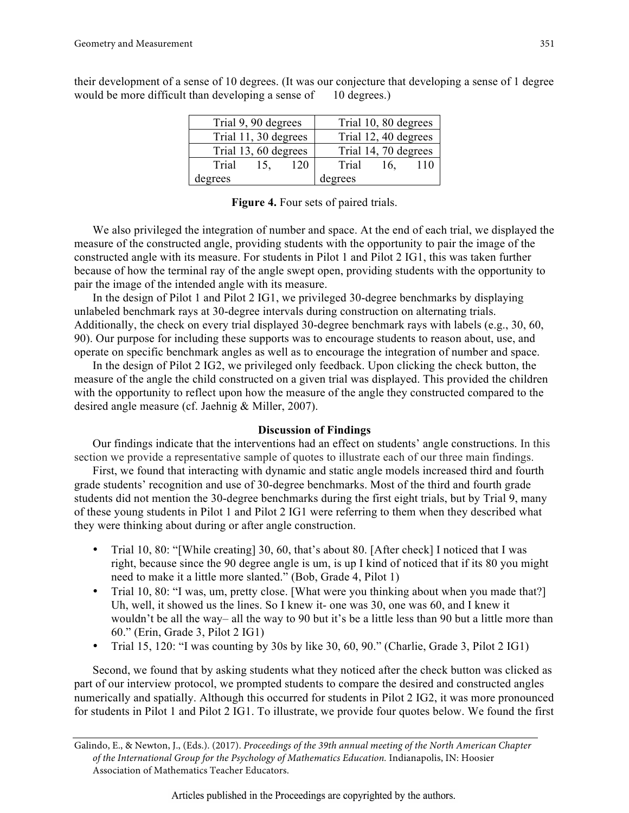| their development of a sense of 10 degrees. (It was our conjecture that developing a sense of 1 degree |  |
|--------------------------------------------------------------------------------------------------------|--|
| would be more difficult than developing a sense of 10 degrees.)                                        |  |

| Trial 9, 90 degrees  |     |                      | Trial 10, 80 degrees |     |     |  |
|----------------------|-----|----------------------|----------------------|-----|-----|--|
| Trial 11, 30 degrees |     |                      | Trial 12, 40 degrees |     |     |  |
| Trial 13, 60 degrees |     | Trial 14, 70 degrees |                      |     |     |  |
| Trial                | 15, | 120                  | Trial                | 16, | 110 |  |
| degrees              |     |                      | degrees              |     |     |  |

We also privileged the integration of number and space. At the end of each trial, we displayed the measure of the constructed angle, providing students with the opportunity to pair the image of the constructed angle with its measure. For students in Pilot 1 and Pilot 2 IG1, this was taken further because of how the terminal ray of the angle swept open, providing students with the opportunity to pair the image of the intended angle with its measure.

In the design of Pilot 1 and Pilot 2 IG1, we privileged 30-degree benchmarks by displaying unlabeled benchmark rays at 30-degree intervals during construction on alternating trials. Additionally, the check on every trial displayed 30-degree benchmark rays with labels (e.g., 30, 60, 90). Our purpose for including these supports was to encourage students to reason about, use, and operate on specific benchmark angles as well as to encourage the integration of number and space.

In the design of Pilot 2 IG2, we privileged only feedback. Upon clicking the check button, the measure of the angle the child constructed on a given trial was displayed. This provided the children with the opportunity to reflect upon how the measure of the angle they constructed compared to the desired angle measure (cf. Jaehnig & Miller, 2007).

## **Discussion of Findings**

Our findings indicate that the interventions had an effect on students' angle constructions. In this section we provide a representative sample of quotes to illustrate each of our three main findings.

First, we found that interacting with dynamic and static angle models increased third and fourth grade students' recognition and use of 30-degree benchmarks. Most of the third and fourth grade students did not mention the 30-degree benchmarks during the first eight trials, but by Trial 9, many of these young students in Pilot 1 and Pilot 2 IG1 were referring to them when they described what they were thinking about during or after angle construction.

- Trial 10, 80: "[While creating] 30, 60, that's about 80. [After check] I noticed that I was right, because since the 90 degree angle is um, is up I kind of noticed that if its 80 you might need to make it a little more slanted." (Bob, Grade 4, Pilot 1)
- Trial 10, 80: "I was, um, pretty close. [What were you thinking about when you made that?] Uh, well, it showed us the lines. So I knew it- one was 30, one was 60, and I knew it wouldn't be all the way– all the way to 90 but it's be a little less than 90 but a little more than 60." (Erin, Grade 3, Pilot 2 IG1)
- Trial 15, 120: "I was counting by 30s by like 30, 60, 90." (Charlie, Grade 3, Pilot 2 IG1)

Second, we found that by asking students what they noticed after the check button was clicked as part of our interview protocol, we prompted students to compare the desired and constructed angles numerically and spatially. Although this occurred for students in Pilot 2 IG2, it was more pronounced for students in Pilot 1 and Pilot 2 IG1. To illustrate, we provide four quotes below. We found the first

Galindo, E., & Newton, J., (Eds.). (2017). *Proceedings of the 39th annual meeting of the North American Chapter of the International Group for the Psychology of Mathematics Education.* Indianapolis, IN: Hoosier Association of Mathematics Teacher Educators.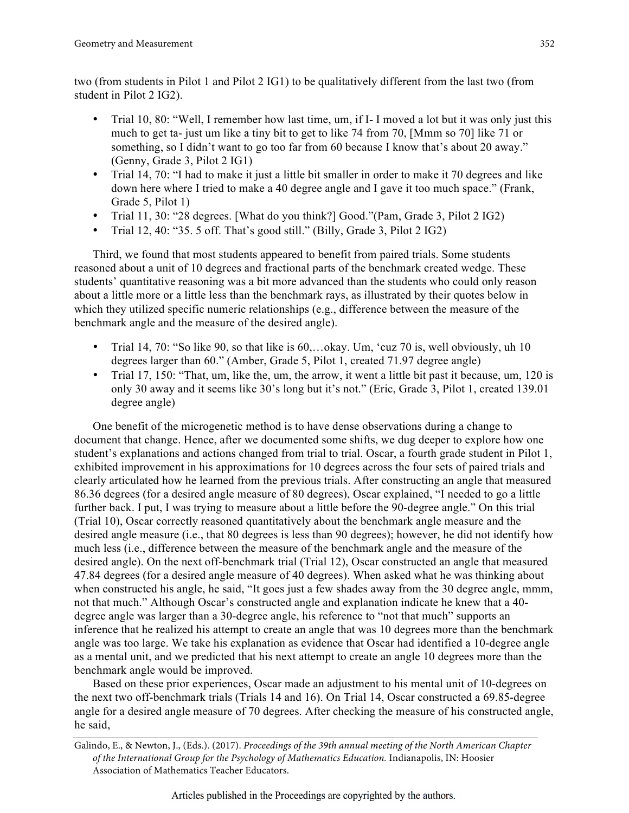two (from students in Pilot 1 and Pilot 2 IG1) to be qualitatively different from the last two (from student in Pilot 2 IG2).

- Trial 10, 80: "Well, I remember how last time, um, if I- I moved a lot but it was only just this much to get ta- just um like a tiny bit to get to like 74 from 70, [Mmm so 70] like 71 or something, so I didn't want to go too far from 60 because I know that's about 20 away." (Genny, Grade 3, Pilot 2 IG1)
- Trial 14, 70: "I had to make it just a little bit smaller in order to make it 70 degrees and like down here where I tried to make a 40 degree angle and I gave it too much space." (Frank, Grade 5, Pilot 1)
- Trial 11, 30: "28 degrees. [What do you think?] Good."(Pam, Grade 3, Pilot 2 IG2)
- Trial 12, 40: "35. 5 off. That's good still." (Billy, Grade 3, Pilot 2 IG2)

Third, we found that most students appeared to benefit from paired trials. Some students reasoned about a unit of 10 degrees and fractional parts of the benchmark created wedge. These students' quantitative reasoning was a bit more advanced than the students who could only reason about a little more or a little less than the benchmark rays, as illustrated by their quotes below in which they utilized specific numeric relationships (e.g., difference between the measure of the benchmark angle and the measure of the desired angle).

- Trial 14, 70: "So like 90, so that like is 60,...okay. Um, 'cuz 70 is, well obviously, uh 10 degrees larger than 60." (Amber, Grade 5, Pilot 1, created 71.97 degree angle)
- Trial 17, 150: "That, um, like the, um, the arrow, it went a little bit past it because, um, 120 is only 30 away and it seems like 30's long but it's not." (Eric, Grade 3, Pilot 1, created 139.01 degree angle)

One benefit of the microgenetic method is to have dense observations during a change to document that change. Hence, after we documented some shifts, we dug deeper to explore how one student's explanations and actions changed from trial to trial. Oscar, a fourth grade student in Pilot 1, exhibited improvement in his approximations for 10 degrees across the four sets of paired trials and clearly articulated how he learned from the previous trials. After constructing an angle that measured 86.36 degrees (for a desired angle measure of 80 degrees), Oscar explained, "I needed to go a little further back. I put, I was trying to measure about a little before the 90-degree angle." On this trial (Trial 10), Oscar correctly reasoned quantitatively about the benchmark angle measure and the desired angle measure (i.e., that 80 degrees is less than 90 degrees); however, he did not identify how much less (i.e., difference between the measure of the benchmark angle and the measure of the desired angle). On the next off-benchmark trial (Trial 12), Oscar constructed an angle that measured 47.84 degrees (for a desired angle measure of 40 degrees). When asked what he was thinking about when constructed his angle, he said, "It goes just a few shades away from the 30 degree angle, mmm, not that much." Although Oscar's constructed angle and explanation indicate he knew that a 40 degree angle was larger than a 30-degree angle, his reference to "not that much" supports an inference that he realized his attempt to create an angle that was 10 degrees more than the benchmark angle was too large. We take his explanation as evidence that Oscar had identified a 10-degree angle as a mental unit, and we predicted that his next attempt to create an angle 10 degrees more than the benchmark angle would be improved.

Based on these prior experiences, Oscar made an adjustment to his mental unit of 10-degrees on the next two off-benchmark trials (Trials 14 and 16). On Trial 14, Oscar constructed a 69.85-degree angle for a desired angle measure of 70 degrees. After checking the measure of his constructed angle, he said,

Galindo, E., & Newton, J., (Eds.). (2017). *Proceedings of the 39th annual meeting of the North American Chapter of the International Group for the Psychology of Mathematics Education.* Indianapolis, IN: Hoosier Association of Mathematics Teacher Educators.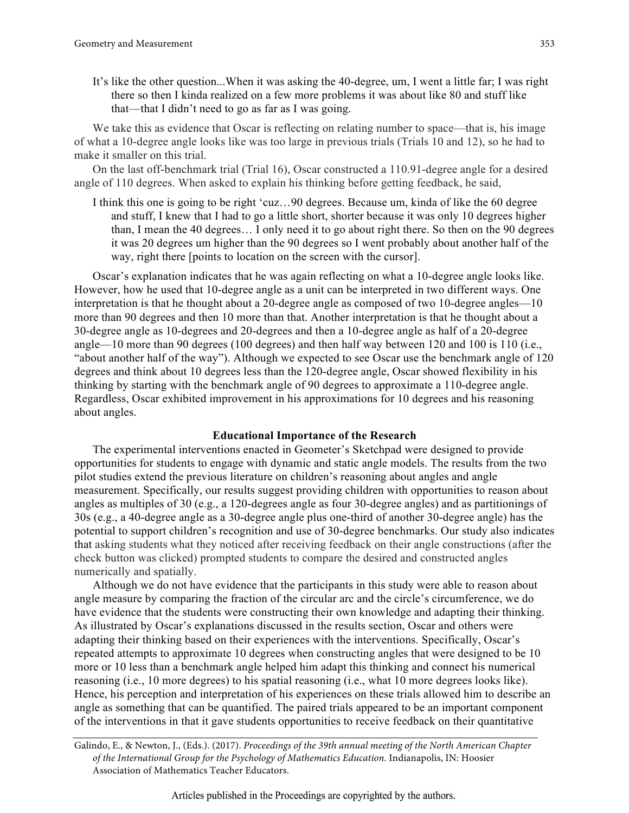It's like the other question...When it was asking the 40-degree, um, I went a little far; I was right there so then I kinda realized on a few more problems it was about like 80 and stuff like that—that I didn't need to go as far as I was going.

We take this as evidence that Oscar is reflecting on relating number to space—that is, his image of what a 10-degree angle looks like was too large in previous trials (Trials 10 and 12), so he had to make it smaller on this trial.

On the last off-benchmark trial (Trial 16), Oscar constructed a 110.91-degree angle for a desired angle of 110 degrees. When asked to explain his thinking before getting feedback, he said,

I think this one is going to be right 'cuz…90 degrees. Because um, kinda of like the 60 degree and stuff, I knew that I had to go a little short, shorter because it was only 10 degrees higher than, I mean the 40 degrees… I only need it to go about right there. So then on the 90 degrees it was 20 degrees um higher than the 90 degrees so I went probably about another half of the way, right there [points to location on the screen with the cursor].

Oscar's explanation indicates that he was again reflecting on what a 10-degree angle looks like. However, how he used that 10-degree angle as a unit can be interpreted in two different ways. One interpretation is that he thought about a 20-degree angle as composed of two 10-degree angles—10 more than 90 degrees and then 10 more than that. Another interpretation is that he thought about a 30-degree angle as 10-degrees and 20-degrees and then a 10-degree angle as half of a 20-degree angle—10 more than 90 degrees (100 degrees) and then half way between 120 and 100 is 110 (i.e., "about another half of the way"). Although we expected to see Oscar use the benchmark angle of 120 degrees and think about 10 degrees less than the 120-degree angle, Oscar showed flexibility in his thinking by starting with the benchmark angle of 90 degrees to approximate a 110-degree angle. Regardless, Oscar exhibited improvement in his approximations for 10 degrees and his reasoning about angles.

### **Educational Importance of the Research**

The experimental interventions enacted in Geometer's Sketchpad were designed to provide opportunities for students to engage with dynamic and static angle models. The results from the two pilot studies extend the previous literature on children's reasoning about angles and angle measurement. Specifically, our results suggest providing children with opportunities to reason about angles as multiples of 30 (e.g., a 120-degrees angle as four 30-degree angles) and as partitionings of 30s (e.g., a 40-degree angle as a 30-degree angle plus one-third of another 30-degree angle) has the potential to support children's recognition and use of 30-degree benchmarks. Our study also indicates that asking students what they noticed after receiving feedback on their angle constructions (after the check button was clicked) prompted students to compare the desired and constructed angles numerically and spatially.

Although we do not have evidence that the participants in this study were able to reason about angle measure by comparing the fraction of the circular arc and the circle's circumference, we do have evidence that the students were constructing their own knowledge and adapting their thinking. As illustrated by Oscar's explanations discussed in the results section, Oscar and others were adapting their thinking based on their experiences with the interventions. Specifically, Oscar's repeated attempts to approximate 10 degrees when constructing angles that were designed to be 10 more or 10 less than a benchmark angle helped him adapt this thinking and connect his numerical reasoning (i.e., 10 more degrees) to his spatial reasoning (i.e., what 10 more degrees looks like). Hence, his perception and interpretation of his experiences on these trials allowed him to describe an angle as something that can be quantified. The paired trials appeared to be an important component of the interventions in that it gave students opportunities to receive feedback on their quantitative

Galindo, E., & Newton, J., (Eds.). (2017). *Proceedings of the 39th annual meeting of the North American Chapter of the International Group for the Psychology of Mathematics Education.* Indianapolis, IN: Hoosier Association of Mathematics Teacher Educators.